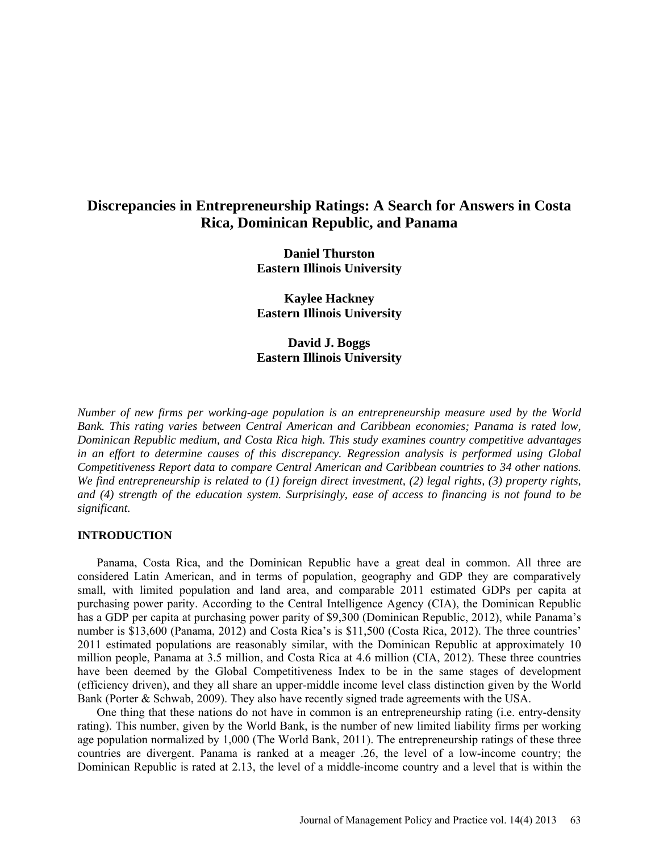# **Discrepancies in Entrepreneurship Ratings: A Search for Answers in Costa Rica, Dominican Republic, and Panama**

**Daniel Thurston Eastern Illinois University**

**Kaylee Hackney Eastern Illinois University**

**David J. Boggs Eastern Illinois University**

*Number of new firms per working-age population is an entrepreneurship measure used by the World Bank. This rating varies between Central American and Caribbean economies; Panama is rated low, Dominican Republic medium, and Costa Rica high. This study examines country competitive advantages in an effort to determine causes of this discrepancy. Regression analysis is performed using Global Competitiveness Report data to compare Central American and Caribbean countries to 34 other nations. We find entrepreneurship is related to (1) foreign direct investment, (2) legal rights, (3) property rights, and (4) strength of the education system. Surprisingly, ease of access to financing is not found to be significant.*

#### **INTRODUCTION**

Panama, Costa Rica, and the Dominican Republic have a great deal in common. All three are considered Latin American, and in terms of population, geography and GDP they are comparatively small, with limited population and land area, and comparable 2011 estimated GDPs per capita at purchasing power parity. According to the Central Intelligence Agency (CIA), the Dominican Republic has a GDP per capita at purchasing power parity of \$9,300 (Dominican Republic, 2012), while Panama's number is \$13,600 (Panama, 2012) and Costa Rica's is \$11,500 (Costa Rica, 2012). The three countries' 2011 estimated populations are reasonably similar, with the Dominican Republic at approximately 10 million people, Panama at 3.5 million, and Costa Rica at 4.6 million (CIA, 2012). These three countries have been deemed by the Global Competitiveness Index to be in the same stages of development (efficiency driven), and they all share an upper-middle income level class distinction given by the World Bank (Porter & Schwab, 2009). They also have recently signed trade agreements with the USA.

One thing that these nations do not have in common is an entrepreneurship rating (i.e. entry-density rating). This number, given by the World Bank, is the number of new limited liability firms per working age population normalized by 1,000 (The World Bank, 2011). The entrepreneurship ratings of these three countries are divergent. Panama is ranked at a meager .26, the level of a low-income country; the Dominican Republic is rated at 2.13, the level of a middle-income country and a level that is within the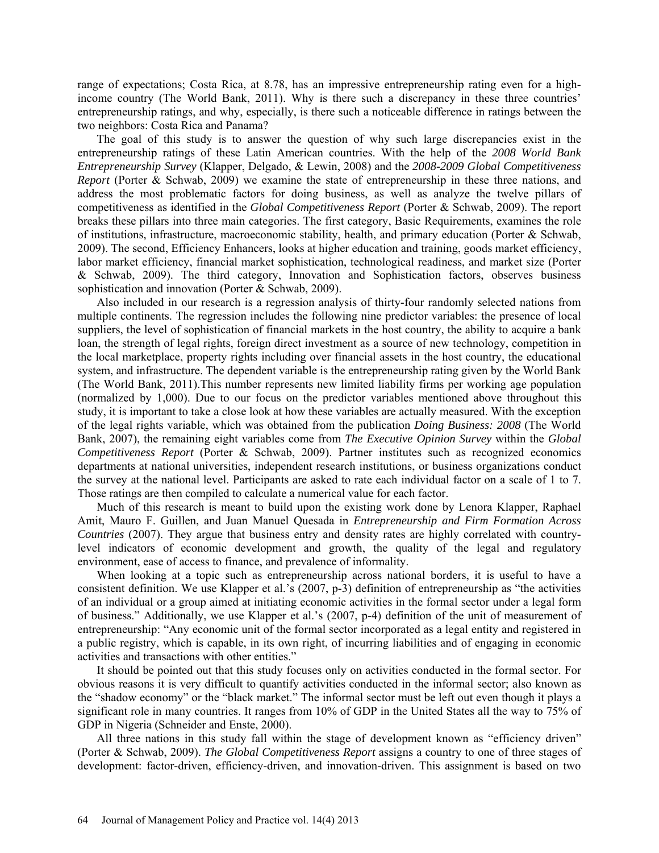range of expectations; Costa Rica, at 8.78, has an impressive entrepreneurship rating even for a highincome country (The World Bank, 2011). Why is there such a discrepancy in these three countries' entrepreneurship ratings, and why, especially, is there such a noticeable difference in ratings between the two neighbors: Costa Rica and Panama?

The goal of this study is to answer the question of why such large discrepancies exist in the entrepreneurship ratings of these Latin American countries. With the help of the *2008 World Bank Entrepreneurship Survey* (Klapper, Delgado, & Lewin, 2008) and the *2008-2009 Global Competitiveness Report* (Porter & Schwab, 2009) we examine the state of entrepreneurship in these three nations, and address the most problematic factors for doing business, as well as analyze the twelve pillars of competitiveness as identified in the *Global Competitiveness Report* (Porter & Schwab, 2009). The report breaks these pillars into three main categories. The first category, Basic Requirements, examines the role of institutions, infrastructure, macroeconomic stability, health, and primary education (Porter & Schwab, 2009). The second, Efficiency Enhancers, looks at higher education and training, goods market efficiency, labor market efficiency, financial market sophistication, technological readiness, and market size (Porter & Schwab, 2009). The third category, Innovation and Sophistication factors, observes business sophistication and innovation (Porter & Schwab, 2009).

Also included in our research is a regression analysis of thirty-four randomly selected nations from multiple continents. The regression includes the following nine predictor variables: the presence of local suppliers, the level of sophistication of financial markets in the host country, the ability to acquire a bank loan, the strength of legal rights, foreign direct investment as a source of new technology, competition in the local marketplace, property rights including over financial assets in the host country, the educational system, and infrastructure. The dependent variable is the entrepreneurship rating given by the World Bank (The World Bank, 2011).This number represents new limited liability firms per working age population (normalized by 1,000). Due to our focus on the predictor variables mentioned above throughout this study, it is important to take a close look at how these variables are actually measured. With the exception of the legal rights variable, which was obtained from the publication *Doing Business: 2008* (The World Bank, 2007), the remaining eight variables come from *The Executive Opinion Survey* within the *Global Competitiveness Report* (Porter & Schwab, 2009). Partner institutes such as recognized economics departments at national universities, independent research institutions, or business organizations conduct the survey at the national level. Participants are asked to rate each individual factor on a scale of 1 to 7. Those ratings are then compiled to calculate a numerical value for each factor.

Much of this research is meant to build upon the existing work done by Lenora Klapper, Raphael Amit, Mauro F. Guillen, and Juan Manuel Quesada in *Entrepreneurship and Firm Formation Across Countries* (2007). They argue that business entry and density rates are highly correlated with countrylevel indicators of economic development and growth, the quality of the legal and regulatory environment, ease of access to finance, and prevalence of informality.

When looking at a topic such as entrepreneurship across national borders, it is useful to have a consistent definition. We use Klapper et al.'s (2007, p-3) definition of entrepreneurship as "the activities of an individual or a group aimed at initiating economic activities in the formal sector under a legal form of business." Additionally, we use Klapper et al.'s (2007, p-4) definition of the unit of measurement of entrepreneurship: "Any economic unit of the formal sector incorporated as a legal entity and registered in a public registry, which is capable, in its own right, of incurring liabilities and of engaging in economic activities and transactions with other entities."

It should be pointed out that this study focuses only on activities conducted in the formal sector. For obvious reasons it is very difficult to quantify activities conducted in the informal sector; also known as the "shadow economy" or the "black market." The informal sector must be left out even though it plays a significant role in many countries. It ranges from 10% of GDP in the United States all the way to 75% of GDP in Nigeria (Schneider and Enste, 2000).

All three nations in this study fall within the stage of development known as "efficiency driven" (Porter & Schwab, 2009). *The Global Competitiveness Report* assigns a country to one of three stages of development: factor-driven, efficiency-driven, and innovation-driven. This assignment is based on two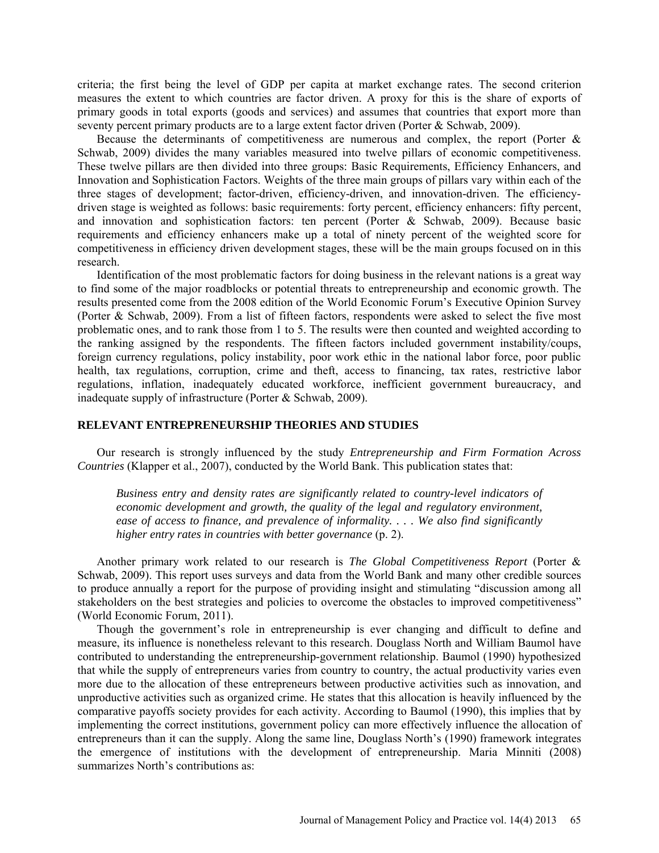criteria; the first being the level of GDP per capita at market exchange rates. The second criterion measures the extent to which countries are factor driven. A proxy for this is the share of exports of primary goods in total exports (goods and services) and assumes that countries that export more than seventy percent primary products are to a large extent factor driven (Porter & Schwab, 2009).

Because the determinants of competitiveness are numerous and complex, the report (Porter  $\&$ Schwab, 2009) divides the many variables measured into twelve pillars of economic competitiveness. These twelve pillars are then divided into three groups: Basic Requirements, Efficiency Enhancers, and Innovation and Sophistication Factors. Weights of the three main groups of pillars vary within each of the three stages of development; factor-driven, efficiency-driven, and innovation-driven. The efficiencydriven stage is weighted as follows: basic requirements: forty percent, efficiency enhancers: fifty percent, and innovation and sophistication factors: ten percent (Porter & Schwab, 2009). Because basic requirements and efficiency enhancers make up a total of ninety percent of the weighted score for competitiveness in efficiency driven development stages, these will be the main groups focused on in this research.

Identification of the most problematic factors for doing business in the relevant nations is a great way to find some of the major roadblocks or potential threats to entrepreneurship and economic growth. The results presented come from the 2008 edition of the World Economic Forum's Executive Opinion Survey (Porter & Schwab, 2009). From a list of fifteen factors, respondents were asked to select the five most problematic ones, and to rank those from 1 to 5. The results were then counted and weighted according to the ranking assigned by the respondents. The fifteen factors included government instability/coups, foreign currency regulations, policy instability, poor work ethic in the national labor force, poor public health, tax regulations, corruption, crime and theft, access to financing, tax rates, restrictive labor regulations, inflation, inadequately educated workforce, inefficient government bureaucracy, and inadequate supply of infrastructure (Porter & Schwab, 2009).

## **RELEVANT ENTREPRENEURSHIP THEORIES AND STUDIES**

Our research is strongly influenced by the study *Entrepreneurship and Firm Formation Across Countries* (Klapper et al., 2007), conducted by the World Bank. This publication states that:

*Business entry and density rates are significantly related to country-level indicators of economic development and growth, the quality of the legal and regulatory environment, ease of access to finance, and prevalence of informality. . . . We also find significantly higher entry rates in countries with better governance* (p. 2).

Another primary work related to our research is *The Global Competitiveness Report* (Porter & Schwab, 2009). This report uses surveys and data from the World Bank and many other credible sources to produce annually a report for the purpose of providing insight and stimulating "discussion among all stakeholders on the best strategies and policies to overcome the obstacles to improved competitiveness" (World Economic Forum, 2011).

Though the government's role in entrepreneurship is ever changing and difficult to define and measure, its influence is nonetheless relevant to this research. Douglass North and William Baumol have contributed to understanding the entrepreneurship-government relationship. Baumol (1990) hypothesized that while the supply of entrepreneurs varies from country to country, the actual productivity varies even more due to the allocation of these entrepreneurs between productive activities such as innovation, and unproductive activities such as organized crime. He states that this allocation is heavily influenced by the comparative payoffs society provides for each activity. According to Baumol (1990), this implies that by implementing the correct institutions, government policy can more effectively influence the allocation of entrepreneurs than it can the supply. Along the same line, Douglass North's (1990) framework integrates the emergence of institutions with the development of entrepreneurship. Maria Minniti (2008) summarizes North's contributions as: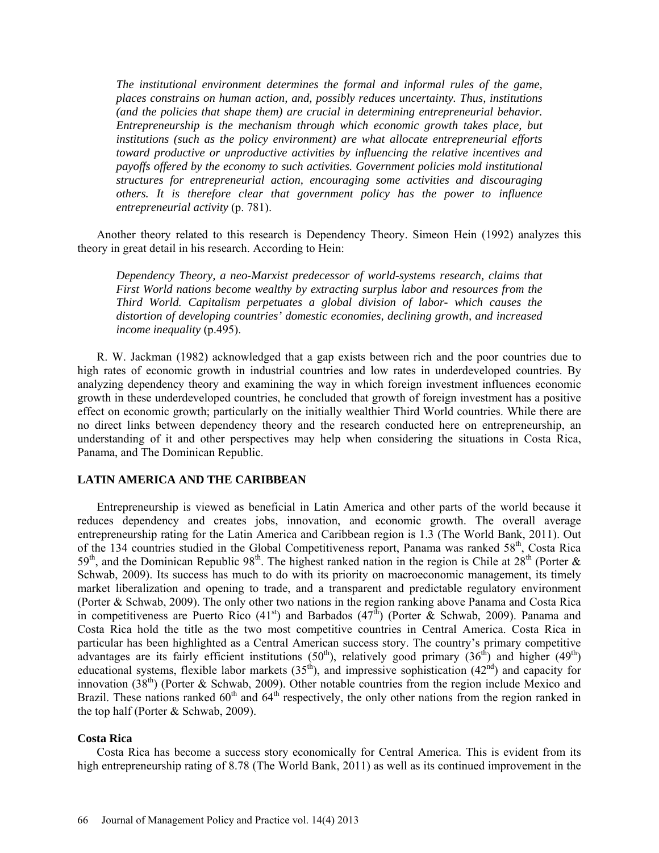*The institutional environment determines the formal and informal rules of the game, places constrains on human action, and, possibly reduces uncertainty. Thus, institutions (and the policies that shape them) are crucial in determining entrepreneurial behavior. Entrepreneurship is the mechanism through which economic growth takes place, but institutions (such as the policy environment) are what allocate entrepreneurial efforts toward productive or unproductive activities by influencing the relative incentives and payoffs offered by the economy to such activities. Government policies mold institutional structures for entrepreneurial action, encouraging some activities and discouraging others. It is therefore clear that government policy has the power to influence entrepreneurial activity* (p. 781).

Another theory related to this research is Dependency Theory. Simeon Hein (1992) analyzes this theory in great detail in his research. According to Hein:

*Dependency Theory, a neo-Marxist predecessor of world-systems research, claims that First World nations become wealthy by extracting surplus labor and resources from the Third World. Capitalism perpetuates a global division of labor- which causes the distortion of developing countries' domestic economies, declining growth, and increased income inequality* (p.495).

R. W. Jackman (1982) acknowledged that a gap exists between rich and the poor countries due to high rates of economic growth in industrial countries and low rates in underdeveloped countries. By analyzing dependency theory and examining the way in which foreign investment influences economic growth in these underdeveloped countries, he concluded that growth of foreign investment has a positive effect on economic growth; particularly on the initially wealthier Third World countries. While there are no direct links between dependency theory and the research conducted here on entrepreneurship, an understanding of it and other perspectives may help when considering the situations in Costa Rica, Panama, and The Dominican Republic.

### **LATIN AMERICA AND THE CARIBBEAN**

Entrepreneurship is viewed as beneficial in Latin America and other parts of the world because it reduces dependency and creates jobs, innovation, and economic growth. The overall average entrepreneurship rating for the Latin America and Caribbean region is 1.3 (The World Bank, 2011). Out of the 134 countries studied in the Global Competitiveness report, Panama was ranked 58<sup>th</sup>, Costa Rica  $59<sup>th</sup>$ , and the Dominican Republic  $98<sup>th</sup>$ . The highest ranked nation in the region is Chile at  $28<sup>th</sup>$  (Porter  $\&$ Schwab, 2009). Its success has much to do with its priority on macroeconomic management, its timely market liberalization and opening to trade, and a transparent and predictable regulatory environment (Porter & Schwab, 2009). The only other two nations in the region ranking above Panama and Costa Rica in competitiveness are Puerto Rico  $(41<sup>st</sup>)$  and Barbados  $(47<sup>th</sup>)$  (Porter & Schwab, 2009). Panama and Costa Rica hold the title as the two most competitive countries in Central America. Costa Rica in particular has been highlighted as a Central American success story. The country's primary competitive advantages are its fairly efficient institutions  $(50<sup>th</sup>)$ , relatively good primary  $(36<sup>th</sup>)$  and higher  $(49<sup>th</sup>)$ educational systems, flexible labor markets  $(35<sup>th</sup>)$ , and impressive sophistication  $(42<sup>nd</sup>)$  and capacity for innovation  $(38<sup>th</sup>)$  (Porter & Schwab, 2009). Other notable countries from the region include Mexico and Brazil. These nations ranked  $60<sup>th</sup>$  and  $64<sup>th</sup>$  respectively, the only other nations from the region ranked in the top half (Porter & Schwab, 2009).

### **Costa Rica**

Costa Rica has become a success story economically for Central America. This is evident from its high entrepreneurship rating of 8.78 (The World Bank, 2011) as well as its continued improvement in the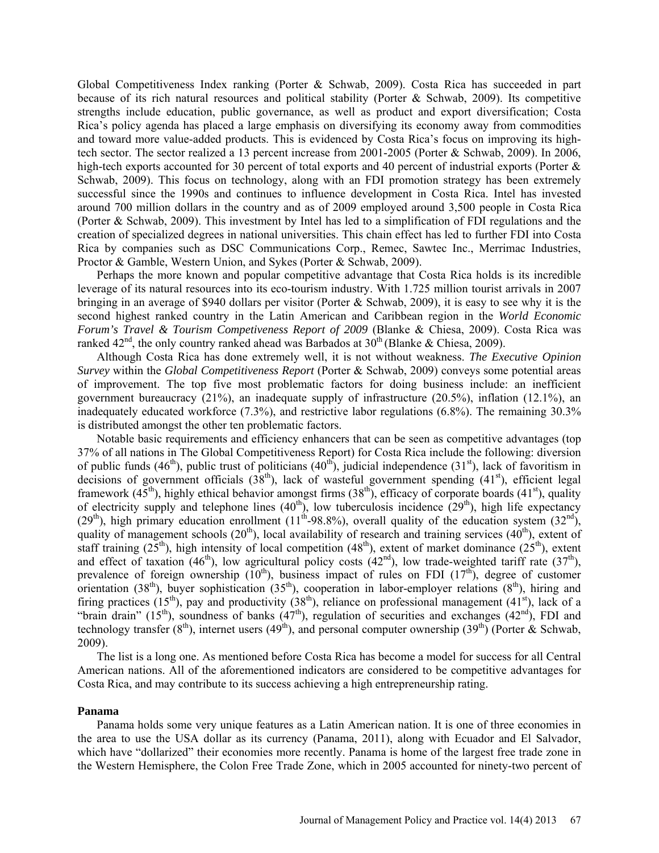Global Competitiveness Index ranking (Porter & Schwab, 2009). Costa Rica has succeeded in part because of its rich natural resources and political stability (Porter & Schwab, 2009). Its competitive strengths include education, public governance, as well as product and export diversification; Costa Rica's policy agenda has placed a large emphasis on diversifying its economy away from commodities and toward more value-added products. This is evidenced by Costa Rica's focus on improving its hightech sector. The sector realized a 13 percent increase from 2001-2005 (Porter & Schwab, 2009). In 2006, high-tech exports accounted for 30 percent of total exports and 40 percent of industrial exports (Porter & Schwab, 2009). This focus on technology, along with an FDI promotion strategy has been extremely successful since the 1990s and continues to influence development in Costa Rica. Intel has invested around 700 million dollars in the country and as of 2009 employed around 3,500 people in Costa Rica (Porter & Schwab, 2009). This investment by Intel has led to a simplification of FDI regulations and the creation of specialized degrees in national universities. This chain effect has led to further FDI into Costa Rica by companies such as DSC Communications Corp., Remec, Sawtec Inc., Merrimac Industries, Proctor & Gamble, Western Union, and Sykes (Porter & Schwab, 2009).

Perhaps the more known and popular competitive advantage that Costa Rica holds is its incredible leverage of its natural resources into its eco-tourism industry. With 1.725 million tourist arrivals in 2007 bringing in an average of \$940 dollars per visitor (Porter & Schwab, 2009), it is easy to see why it is the second highest ranked country in the Latin American and Caribbean region in the *World Economic Forum's Travel & Tourism Competiveness Report of 2009* (Blanke & Chiesa, 2009). Costa Rica was ranked  $42<sup>nd</sup>$ , the only country ranked ahead was Barbados at  $30<sup>th</sup>$  (Blanke & Chiesa, 2009).

Although Costa Rica has done extremely well, it is not without weakness. *The Executive Opinion Survey* within the *Global Competitiveness Report* (Porter & Schwab, 2009) conveys some potential areas of improvement. The top five most problematic factors for doing business include: an inefficient government bureaucracy (21%), an inadequate supply of infrastructure (20.5%), inflation (12.1%), an inadequately educated workforce (7.3%), and restrictive labor regulations (6.8%). The remaining 30.3% is distributed amongst the other ten problematic factors.

Notable basic requirements and efficiency enhancers that can be seen as competitive advantages (top 37% of all nations in The Global Competitiveness Report) for Costa Rica include the following: diversion of public funds (46<sup>th</sup>), public trust of politicians (40<sup>th</sup>), judicial independence (31<sup>st</sup>), lack of favoritism in decisions of government officials  $(38<sup>th</sup>)$ , lack of wasteful government spending  $(41<sup>st</sup>)$ , efficient legal framework  $(45<sup>th</sup>)$ , highly ethical behavior amongst firms  $(38<sup>th</sup>)$ , efficacy of corporate boards  $(41<sup>st</sup>)$ , quality of electricity supply and telephone lines  $(40<sup>th</sup>)$ , low tuberculosis incidence  $(29<sup>th</sup>)$ , high life expectancy  $(29<sup>th</sup>)$ , high primary education enrollment  $(11<sup>th</sup>-98.8%)$ , overall quality of the education system  $(32<sup>nd</sup>)$ , quality of management schools  $(20<sup>th</sup>)$ , local availability of research and training services  $(40<sup>th</sup>)$ , extent of staff training (25<sup>th</sup>), high intensity of local competition (48<sup>th</sup>), extent of market dominance (25<sup>th</sup>), extent and effect of taxation (46<sup>th</sup>), low agricultural policy costs (42<sup>nd</sup>), low trade-weighted tariff rate (37<sup>th</sup>), prevalence of foreign ownership  $(10^{th})$ , business impact of rules on FDI  $(17^{th})$ , degree of customer orientation (38<sup>th</sup>), buyer sophistication (35<sup>th</sup>), cooperation in labor-employer relations (8<sup>th</sup>), hiring and firing practices (15<sup>th</sup>), pay and productivity (38<sup>th</sup>), reliance on professional management (41<sup>st</sup>), lack of a "brain drain" (15<sup>th</sup>), soundness of banks  $(47<sup>th</sup>)$ , regulation of securities and exchanges  $(42<sup>nd</sup>)$ , FDI and technology transfer  $(8<sup>th</sup>)$ , internet users  $(49<sup>th</sup>)$ , and personal computer ownership  $(39<sup>th</sup>)$  (Porter & Schwab, 2009).

The list is a long one. As mentioned before Costa Rica has become a model for success for all Central American nations. All of the aforementioned indicators are considered to be competitive advantages for Costa Rica, and may contribute to its success achieving a high entrepreneurship rating.

### **Panama**

Panama holds some very unique features as a Latin American nation. It is one of three economies in the area to use the USA dollar as its currency (Panama, 2011), along with Ecuador and El Salvador, which have "dollarized" their economies more recently. Panama is home of the largest free trade zone in the Western Hemisphere, the Colon Free Trade Zone, which in 2005 accounted for ninety-two percent of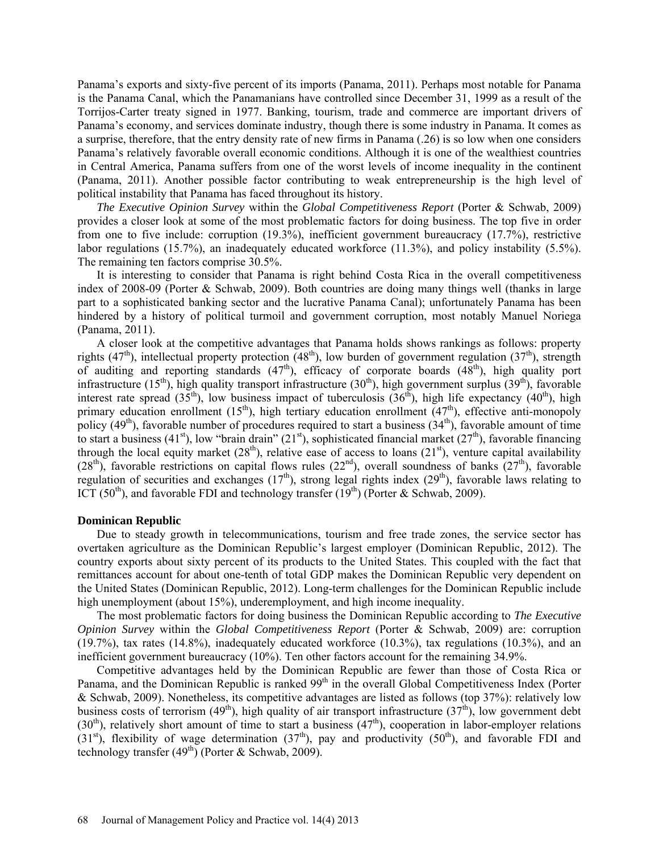Panama's exports and sixty-five percent of its imports (Panama, 2011). Perhaps most notable for Panama is the Panama Canal, which the Panamanians have controlled since December 31, 1999 as a result of the Torrijos-Carter treaty signed in 1977. Banking, tourism, trade and commerce are important drivers of Panama's economy, and services dominate industry, though there is some industry in Panama. It comes as a surprise, therefore, that the entry density rate of new firms in Panama (.26) is so low when one considers Panama's relatively favorable overall economic conditions. Although it is one of the wealthiest countries in Central America, Panama suffers from one of the worst levels of income inequality in the continent (Panama, 2011). Another possible factor contributing to weak entrepreneurship is the high level of political instability that Panama has faced throughout its history.

*The Executive Opinion Survey* within the *Global Competitiveness Report* (Porter & Schwab, 2009) provides a closer look at some of the most problematic factors for doing business. The top five in order from one to five include: corruption (19.3%), inefficient government bureaucracy (17.7%), restrictive labor regulations (15.7%), an inadequately educated workforce (11.3%), and policy instability (5.5%). The remaining ten factors comprise 30.5%.

It is interesting to consider that Panama is right behind Costa Rica in the overall competitiveness index of 2008-09 (Porter & Schwab, 2009). Both countries are doing many things well (thanks in large part to a sophisticated banking sector and the lucrative Panama Canal); unfortunately Panama has been hindered by a history of political turmoil and government corruption, most notably Manuel Noriega (Panama, 2011).

A closer look at the competitive advantages that Panama holds shows rankings as follows: property rights  $(47<sup>th</sup>)$ , intellectual property protection  $(48<sup>th</sup>)$ , low burden of government regulation  $(37<sup>th</sup>)$ , strength of auditing and reporting standards  $(47<sup>th</sup>)$ , efficacy of corporate boards  $(48<sup>th</sup>)$ , high quality port infrastructure (15<sup>th</sup>), high quality transport infrastructure (30<sup>th</sup>), high government surplus (39<sup>th</sup>), favorable interest rate spread  $(35<sup>th</sup>)$ , low business impact of tuberculosis  $(36<sup>th</sup>)$ , high life expectancy  $(40<sup>th</sup>)$ , high primary education enrollment  $(15<sup>th</sup>)$ , high tertiary education enrollment  $(47<sup>th</sup>)$ , effective anti-monopoly policy (49<sup>th</sup>), favorable number of procedures required to start a business (34<sup>th</sup>), favorable amount of time to start a business (41<sup>st</sup>), low "brain drain" (21<sup>st</sup>), sophisticated financial market (27<sup>th</sup>), favorable financing through the local equity market  $(28<sup>th</sup>)$ , relative ease of access to loans  $(21<sup>st</sup>)$ , venture capital availability (28<sup>th</sup>), favorable restrictions on capital flows rules (22<sup>nd</sup>), overall soundness of banks (27<sup>th</sup>), favorable regulation of securities and exchanges  $(17<sup>th</sup>)$ , strong legal rights index  $(29<sup>th</sup>)$ , favorable laws relating to ICT (50<sup>th</sup>), and favorable FDI and technology transfer (19<sup>th</sup>) (Porter & Schwab, 2009).

#### **Dominican Republic**

Due to steady growth in telecommunications, tourism and free trade zones, the service sector has overtaken agriculture as the Dominican Republic's largest employer (Dominican Republic, 2012). The country exports about sixty percent of its products to the United States. This coupled with the fact that remittances account for about one-tenth of total GDP makes the Dominican Republic very dependent on the United States (Dominican Republic, 2012). Long-term challenges for the Dominican Republic include high unemployment (about 15%), underemployment, and high income inequality.

The most problematic factors for doing business the Dominican Republic according to *The Executive Opinion Survey* within the *Global Competitiveness Report* (Porter & Schwab, 2009) are: corruption (19.7%), tax rates (14.8%), inadequately educated workforce (10.3%), tax regulations (10.3%), and an inefficient government bureaucracy (10%). Ten other factors account for the remaining 34.9%.

Competitive advantages held by the Dominican Republic are fewer than those of Costa Rica or Panama, and the Dominican Republic is ranked 99<sup>th</sup> in the overall Global Competitiveness Index (Porter & Schwab, 2009). Nonetheless, its competitive advantages are listed as follows (top 37%): relatively low business costs of terrorism  $(49<sup>th</sup>)$ , high quality of air transport infrastructure  $(37<sup>th</sup>)$ , low government debt (30<sup>th</sup>), relatively short amount of time to start a business  $(47<sup>th</sup>)$ , cooperation in labor-employer relations (31<sup>st</sup>), flexibility of wage determination (37<sup>th</sup>), pay and productivity (50<sup>th</sup>), and favorable FDI and technology transfer  $(49<sup>th</sup>)$  (Porter & Schwab, 2009).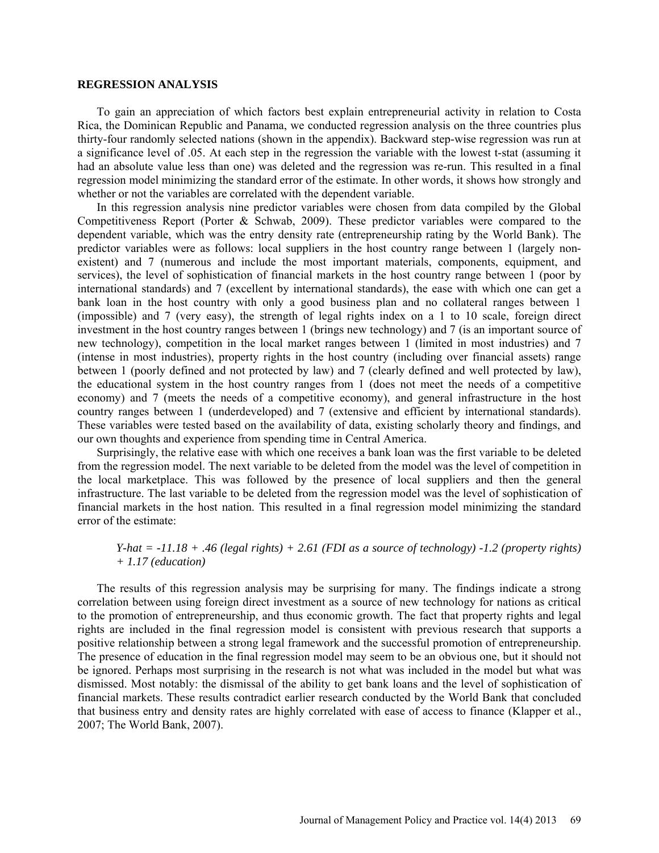#### **REGRESSION ANALYSIS**

To gain an appreciation of which factors best explain entrepreneurial activity in relation to Costa Rica, the Dominican Republic and Panama, we conducted regression analysis on the three countries plus thirty-four randomly selected nations (shown in the appendix). Backward step-wise regression was run at a significance level of .05. At each step in the regression the variable with the lowest t-stat (assuming it had an absolute value less than one) was deleted and the regression was re-run. This resulted in a final regression model minimizing the standard error of the estimate. In other words, it shows how strongly and whether or not the variables are correlated with the dependent variable.

In this regression analysis nine predictor variables were chosen from data compiled by the Global Competitiveness Report (Porter & Schwab, 2009). These predictor variables were compared to the dependent variable, which was the entry density rate (entrepreneurship rating by the World Bank). The predictor variables were as follows: local suppliers in the host country range between 1 (largely nonexistent) and 7 (numerous and include the most important materials, components, equipment, and services), the level of sophistication of financial markets in the host country range between 1 (poor by international standards) and 7 (excellent by international standards), the ease with which one can get a bank loan in the host country with only a good business plan and no collateral ranges between 1 (impossible) and 7 (very easy), the strength of legal rights index on a 1 to 10 scale, foreign direct investment in the host country ranges between 1 (brings new technology) and 7 (is an important source of new technology), competition in the local market ranges between 1 (limited in most industries) and 7 (intense in most industries), property rights in the host country (including over financial assets) range between 1 (poorly defined and not protected by law) and 7 (clearly defined and well protected by law), the educational system in the host country ranges from 1 (does not meet the needs of a competitive economy) and 7 (meets the needs of a competitive economy), and general infrastructure in the host country ranges between 1 (underdeveloped) and 7 (extensive and efficient by international standards). These variables were tested based on the availability of data, existing scholarly theory and findings, and our own thoughts and experience from spending time in Central America.

Surprisingly, the relative ease with which one receives a bank loan was the first variable to be deleted from the regression model. The next variable to be deleted from the model was the level of competition in the local marketplace. This was followed by the presence of local suppliers and then the general infrastructure. The last variable to be deleted from the regression model was the level of sophistication of financial markets in the host nation. This resulted in a final regression model minimizing the standard error of the estimate:

## *Y-hat = -11.18 + .46 (legal rights) + 2.61 (FDI as a source of technology) -1.2 (property rights) + 1.17 (education)*

The results of this regression analysis may be surprising for many. The findings indicate a strong correlation between using foreign direct investment as a source of new technology for nations as critical to the promotion of entrepreneurship, and thus economic growth. The fact that property rights and legal rights are included in the final regression model is consistent with previous research that supports a positive relationship between a strong legal framework and the successful promotion of entrepreneurship. The presence of education in the final regression model may seem to be an obvious one, but it should not be ignored. Perhaps most surprising in the research is not what was included in the model but what was dismissed. Most notably: the dismissal of the ability to get bank loans and the level of sophistication of financial markets. These results contradict earlier research conducted by the World Bank that concluded that business entry and density rates are highly correlated with ease of access to finance (Klapper et al., 2007; The World Bank, 2007).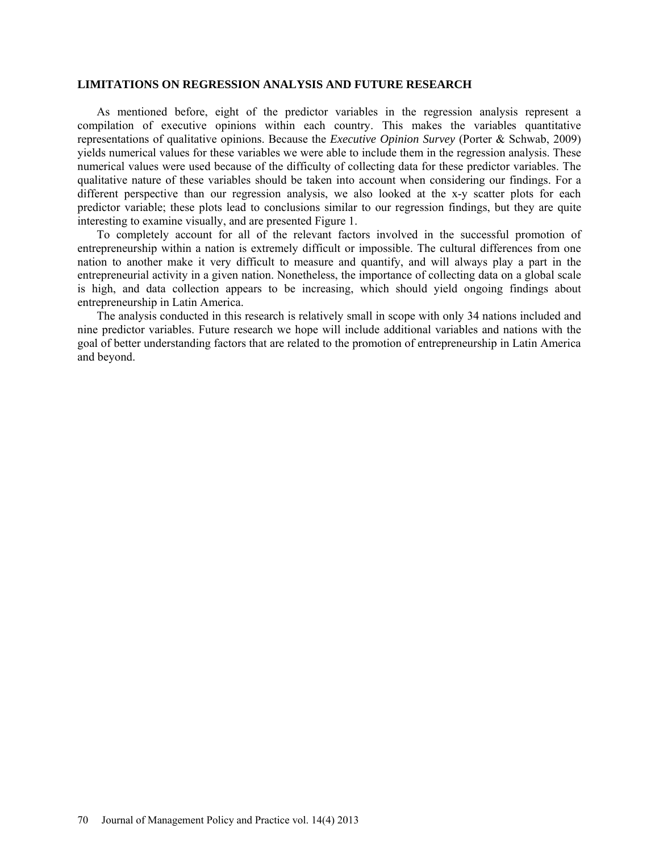#### **LIMITATIONS ON REGRESSION ANALYSIS AND FUTURE RESEARCH**

As mentioned before, eight of the predictor variables in the regression analysis represent a compilation of executive opinions within each country. This makes the variables quantitative representations of qualitative opinions. Because the *Executive Opinion Survey* (Porter & Schwab, 2009) yields numerical values for these variables we were able to include them in the regression analysis. These numerical values were used because of the difficulty of collecting data for these predictor variables. The qualitative nature of these variables should be taken into account when considering our findings. For a different perspective than our regression analysis, we also looked at the x-y scatter plots for each predictor variable; these plots lead to conclusions similar to our regression findings, but they are quite interesting to examine visually, and are presented Figure 1.

To completely account for all of the relevant factors involved in the successful promotion of entrepreneurship within a nation is extremely difficult or impossible. The cultural differences from one nation to another make it very difficult to measure and quantify, and will always play a part in the entrepreneurial activity in a given nation. Nonetheless, the importance of collecting data on a global scale is high, and data collection appears to be increasing, which should yield ongoing findings about entrepreneurship in Latin America.

The analysis conducted in this research is relatively small in scope with only 34 nations included and nine predictor variables. Future research we hope will include additional variables and nations with the goal of better understanding factors that are related to the promotion of entrepreneurship in Latin America and beyond.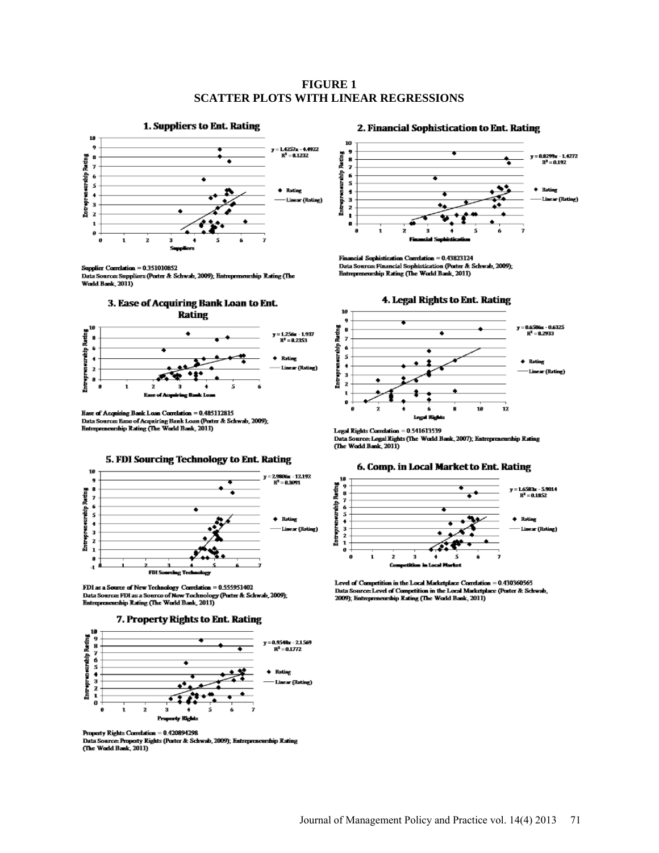### **FIGURE 1 SCATTER PLOTS WITH LINEAR REGRESSIONS**



#### Supplier Correlation = 0.351010852

Data Source: Suppliers (Porter & Schwab, 2009); Entrepreneurship Rating (The World Bank, 2011)



Ease of Acquiring Bank Loan Correlation = 0.485112815 Base of Acquinng Bank Loan Correlation = 0.485112815<br>Data Source: Ease of Acquiring Bank Loan (Porter & Schwab, 2009);<br>Entrepreneurship Rating (The World Bank, 2011)



FDI as a Source of New Technology Correlation = 0.555951402 Data Source: FDI as a Source of New Technology (Porter & Schwab, 2009);<br>Entrepreneurship Rating (The World Bank, 2011)





Property Rights Correlation = 0.420894298 Data Source: Property Rights (Porter & Schwab, 2009); Entrepreneurship Rating (The World Bank, 2011)

#### 2. Financial Sophistication to Ent. Rating



Financial Sophistication Correlation = 0.43823124 Data Sources Financial Sophistication (Porter & Schwab, 2009);<br>Entrepreneurship Rating (The World Bank, 2011)



Legal Rights Correlation = 0.541613539 Legal Rights Correlation = 0.541613539<br>Data Source: Legal Rights (The World Bank, 2007); Entrepreneurship Rating<br>(The World Bank, 2011)

#### 6. Comp. in Local Market to Ent. Rating



Level of Competition in the Local Marketplace Correlation = 0.430360565 Data Source: Level of Competition in the Local Marketplace (Porter & Schwab, 2009); Entrepreneurship Rating (The World Bank, 2011)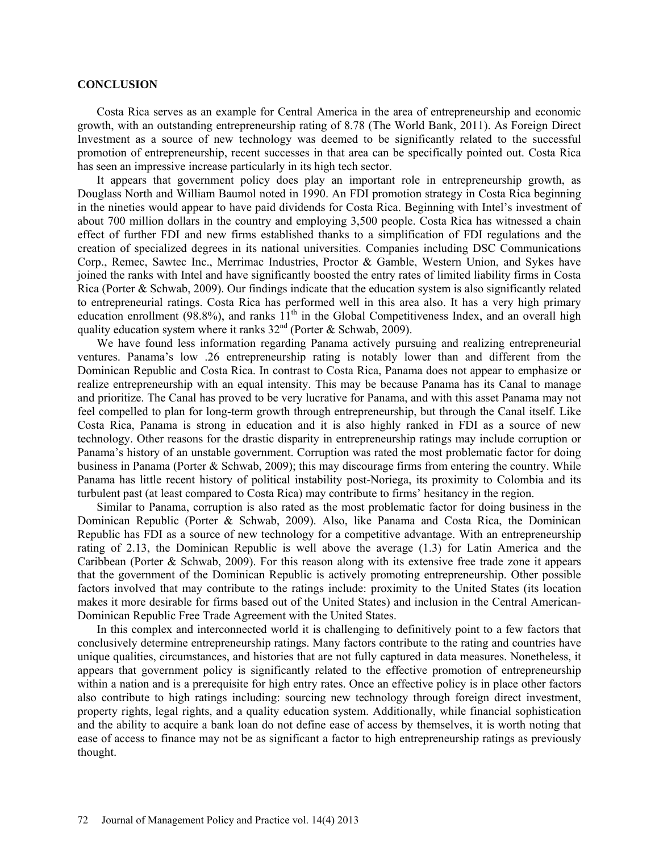### **CONCLUSION**

Costa Rica serves as an example for Central America in the area of entrepreneurship and economic growth, with an outstanding entrepreneurship rating of 8.78 (The World Bank, 2011). As Foreign Direct Investment as a source of new technology was deemed to be significantly related to the successful promotion of entrepreneurship, recent successes in that area can be specifically pointed out. Costa Rica has seen an impressive increase particularly in its high tech sector.

It appears that government policy does play an important role in entrepreneurship growth, as Douglass North and William Baumol noted in 1990. An FDI promotion strategy in Costa Rica beginning in the nineties would appear to have paid dividends for Costa Rica. Beginning with Intel's investment of about 700 million dollars in the country and employing 3,500 people. Costa Rica has witnessed a chain effect of further FDI and new firms established thanks to a simplification of FDI regulations and the creation of specialized degrees in its national universities. Companies including DSC Communications Corp., Remec, Sawtec Inc., Merrimac Industries, Proctor & Gamble, Western Union, and Sykes have joined the ranks with Intel and have significantly boosted the entry rates of limited liability firms in Costa Rica (Porter & Schwab, 2009). Our findings indicate that the education system is also significantly related to entrepreneurial ratings. Costa Rica has performed well in this area also. It has a very high primary education enrollment (98.8%), and ranks  $11<sup>th</sup>$  in the Global Competitiveness Index, and an overall high quality education system where it ranks  $32<sup>nd</sup>$  (Porter & Schwab, 2009).

We have found less information regarding Panama actively pursuing and realizing entrepreneurial ventures. Panama's low .26 entrepreneurship rating is notably lower than and different from the Dominican Republic and Costa Rica. In contrast to Costa Rica, Panama does not appear to emphasize or realize entrepreneurship with an equal intensity. This may be because Panama has its Canal to manage and prioritize. The Canal has proved to be very lucrative for Panama, and with this asset Panama may not feel compelled to plan for long-term growth through entrepreneurship, but through the Canal itself. Like Costa Rica, Panama is strong in education and it is also highly ranked in FDI as a source of new technology. Other reasons for the drastic disparity in entrepreneurship ratings may include corruption or Panama's history of an unstable government. Corruption was rated the most problematic factor for doing business in Panama (Porter & Schwab, 2009); this may discourage firms from entering the country. While Panama has little recent history of political instability post-Noriega, its proximity to Colombia and its turbulent past (at least compared to Costa Rica) may contribute to firms' hesitancy in the region.

Similar to Panama, corruption is also rated as the most problematic factor for doing business in the Dominican Republic (Porter & Schwab, 2009). Also, like Panama and Costa Rica, the Dominican Republic has FDI as a source of new technology for a competitive advantage. With an entrepreneurship rating of 2.13, the Dominican Republic is well above the average (1.3) for Latin America and the Caribbean (Porter & Schwab, 2009). For this reason along with its extensive free trade zone it appears that the government of the Dominican Republic is actively promoting entrepreneurship. Other possible factors involved that may contribute to the ratings include: proximity to the United States (its location makes it more desirable for firms based out of the United States) and inclusion in the Central American-Dominican Republic Free Trade Agreement with the United States.

In this complex and interconnected world it is challenging to definitively point to a few factors that conclusively determine entrepreneurship ratings. Many factors contribute to the rating and countries have unique qualities, circumstances, and histories that are not fully captured in data measures. Nonetheless, it appears that government policy is significantly related to the effective promotion of entrepreneurship within a nation and is a prerequisite for high entry rates. Once an effective policy is in place other factors also contribute to high ratings including: sourcing new technology through foreign direct investment, property rights, legal rights, and a quality education system. Additionally, while financial sophistication and the ability to acquire a bank loan do not define ease of access by themselves, it is worth noting that ease of access to finance may not be as significant a factor to high entrepreneurship ratings as previously thought.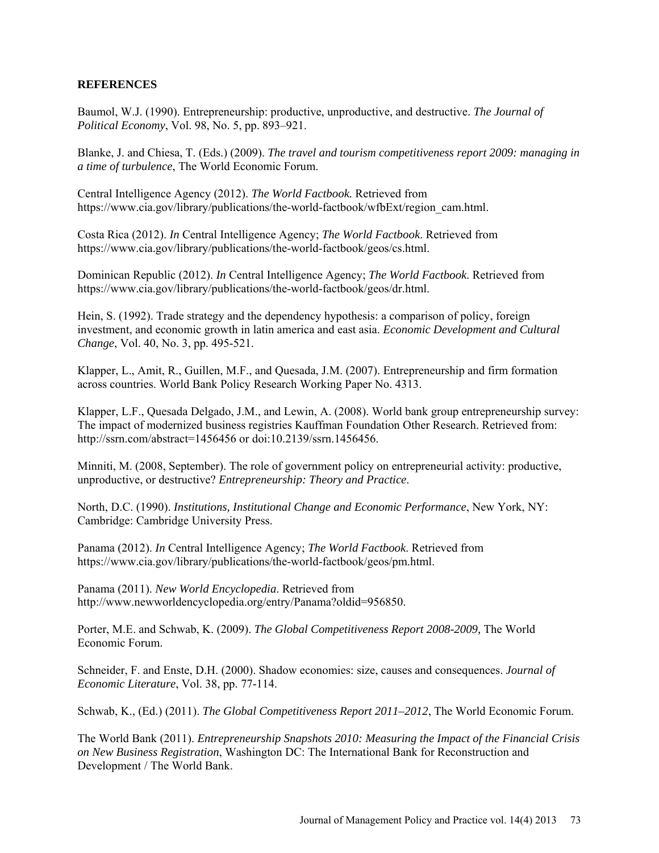## **REFERENCES**

Baumol, W.J. (1990). Entrepreneurship: productive, unproductive, and destructive. *The Journal of Political Economy*, Vol. 98, No. 5, pp. 893–921.

Blanke, J. and Chiesa, T. (Eds.) (2009). *The travel and tourism competitiveness report 2009: managing in a time of turbulence*, The World Economic Forum.

Central Intelligence Agency (2012). *The World Factbook.* Retrieved from https://www.cia.gov/library/publications/the-world-factbook/wfbExt/region\_cam.html.

Costa Rica (2012). *In* Central Intelligence Agency; *The World Factbook*. Retrieved from https://www.cia.gov/library/publications/the-world-factbook/geos/cs.html.

Dominican Republic (2012). *In* Central Intelligence Agency; *The World Factbook*. Retrieved from https://www.cia.gov/library/publications/the-world-factbook/geos/dr.html.

Hein, S. (1992). Trade strategy and the dependency hypothesis: a comparison of policy, foreign investment, and economic growth in latin america and east asia. *Economic Development and Cultural Change*, Vol. 40, No. 3, pp. 495-521.

Klapper, L., Amit, R., Guillen, M.F., and Quesada, J.M. (2007). Entrepreneurship and firm formation across countries. World Bank Policy Research Working Paper No. 4313.

Klapper, L.F., Quesada Delgado, J.M., and Lewin, A. (2008). World bank group entrepreneurship survey: The impact of modernized business registries Kauffman Foundation Other Research. Retrieved from: http://ssrn.com/abstract=1456456 or doi:10.2139/ssrn.1456456.

Minniti, M. (2008, September). The role of government policy on entrepreneurial activity: productive, unproductive, or destructive? *Entrepreneurship: Theory and Practice*.

North, D.C. (1990). *Institutions, Institutional Change and Economic Performance*, New York, NY: Cambridge: Cambridge University Press.

Panama (2012). *In* Central Intelligence Agency; *The World Factbook*. Retrieved from [https://www.cia.gov/library/publications/the-world-factbook/geos/pm.html.](https://www.cia.gov/library/publications/the-world-factbook/geos/pm.html)

Panama (2011). *New World Encyclopedia*. Retrieved from [http://www.newworldencyclopedia.org/entry/Panama?oldid=956850.](http://www.newworldencyclopedia.org/entry/Panama?oldid=956850)

Porter, M.E. and Schwab, K. (2009). *The Global Competitiveness Report 2008-2009,* The World Economic Forum.

Schneider, F. and Enste, D.H. (2000). Shadow economies: size, causes and consequences. *Journal of Economic Literature*, Vol. 38, pp. 77-114.

Schwab, K., (Ed.) (2011). *The Global Competitiveness Report 2011–2012*, The World Economic Forum.

The World Bank (2011). *Entrepreneurship Snapshots 2010: Measuring the Impact of the Financial Crisis on New Business Registration*, Washington DC: The International Bank for Reconstruction and Development / The World Bank.